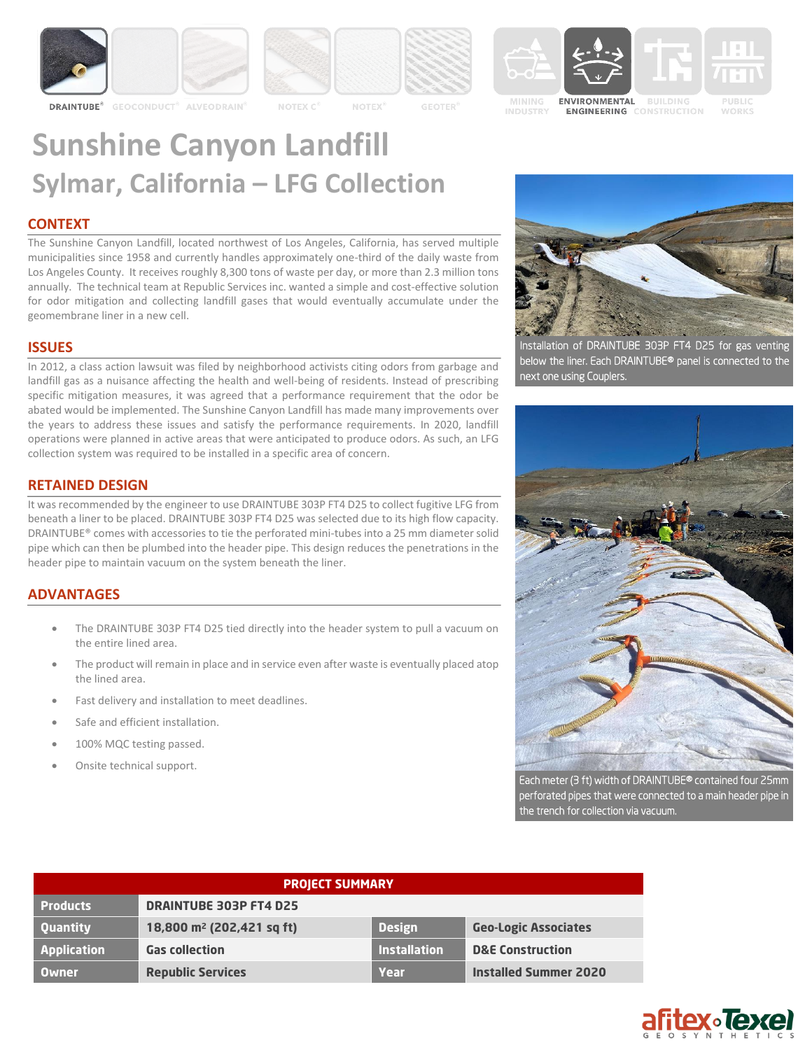

**GEOCONDUCT<sup>3</sup>** 



**ALVEODRAIN** 







**MINING ENGINEERING** CONSTRUCTION

**WORKS** 

# **Sunshine Canyon Landfill Sylmar, California – LFG Collection**

## **CONTEXT**

**DRAINTUBE**<sup>®</sup>

The Sunshine Canyon Landfill, located northwest of Los Angeles, California, has served multiple municipalities since 1958 and currently handles approximately one-third of the daily waste from Los Angeles County. It receives roughly 8,300 tons of waste per day, or more than 2.3 million tons annually. The technical team at Republic Services inc. wanted a simple and cost-effective solution for odor mitigation and collecting landfill gases that would eventually accumulate under the geomembrane liner in a new cell.

## **ISSUES**

In 2012, a class action lawsuit was filed by neighborhood activists citing odors from garbage and landfill gas as a nuisance affecting the health and well-being of residents. Instead of prescribing specific mitigation measures, it was agreed that a performance requirement that the odor be abated would be implemented. The Sunshine Canyon Landfill has made many improvements over the years to address these issues and satisfy the performance requirements. In 2020, landfill operations were planned in active areas that were anticipated to produce odors. As such, an LFG collection system was required to be installed in a specific area of concern.

# **RETAINED DESIGN**

It was recommended by the engineer to use DRAINTUBE 303P FT4 D25 to collect fugitive LFG from beneath a liner to be placed. DRAINTUBE 303P FT4 D25 was selected due to its high flow capacity. DRAINTUBE® comes with accessories to tie the perforated mini-tubes into a 25 mm diameter solid pipe which can then be plumbed into the header pipe. This design reduces the penetrations in the header pipe to maintain vacuum on the system beneath the liner.

# **ADVANTAGES**

- The DRAINTUBE 303P FT4 D25 tied directly into the header system to pull a vacuum on the entire lined area.
- The product will remain in place and in service even after waste is eventually placed atop the lined area.
- Fast delivery and installation to meet deadlines.
- Safe and efficient installation.
- 100% MQC testing passed.
- Onsite technical support.



Installation of DRAINTUBE 303P FT4 D25 for gas venting below the liner. Each DRAINTUBE® panel is connected to the next one using Couplers.



Each meter (3 ft) width of DRAINTUBE® contained four 25mm perforated pipes that were connected to a main header pipe in the trench for collection via vacuum.

| <b>PROJECT SUMMARY</b> |                                       |                     |                              |
|------------------------|---------------------------------------|---------------------|------------------------------|
| <b>Products</b>        | <b>DRAINTUBE 303P FT4 D25</b>         |                     |                              |
| <b>Quantity</b>        | 18,800 m <sup>2</sup> (202,421 sq ft) | <b>Design</b>       | <b>Geo-Logic Associates</b>  |
| <b>Application</b>     | <b>Gas collection</b>                 | <b>Installation</b> | <b>D&amp;E Construction</b>  |
| <b>Owner</b>           | <b>Republic Services</b>              | Year                | <b>Installed Summer 2020</b> |